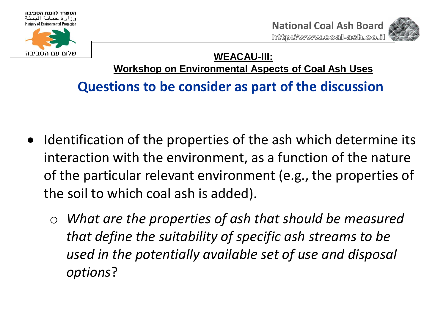



**WEACAU-III: Workshop on Environmental Aspects of Coal Ash Uses**

- Identification of the properties of the ash which determine its interaction with the environment, as a function of the nature of the particular relevant environment (e.g., the properties of the soil to which coal ash is added).
	- o *What are the properties of ash that should be measured that define the suitability of specific ash streams to be used in the potentially available set of use and disposal options*?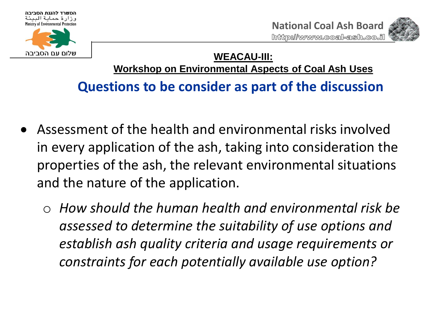



## **WEACAU-III: Workshop on Environmental Aspects of Coal Ash Uses**

- Assessment of the health and environmental risks involved in every application of the ash, taking into consideration the properties of the ash, the relevant environmental situations and the nature of the application.
	- o *How should the human health and environmental risk be assessed to determine the suitability of use options and establish ash quality criteria and usage requirements or constraints for each potentially available use option?*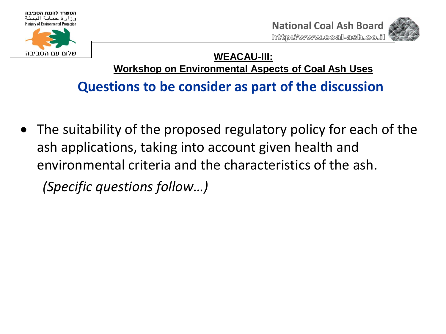



#### **WEACAU-III: Workshop on Environmental Aspects of Coal Ash Uses**

# **Questions to be consider as part of the discussion**

 The suitability of the proposed regulatory policy for each of the ash applications, taking into account given health and environmental criteria and the characteristics of the ash. *(Specific questions follow…)*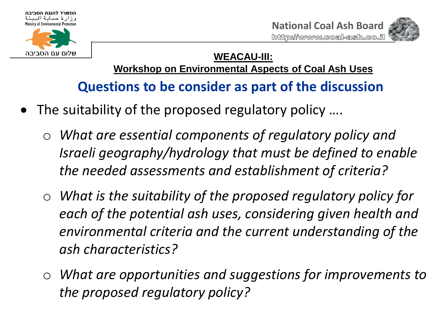





#### **WEACAU-III: Workshop on Environmental Aspects of Coal Ash Uses**

- The suitability of the proposed regulatory policy ....
	- o *What are essential components of regulatory policy and Israeli geography/hydrology that must be defined to enable the needed assessments and establishment of criteria?*
	- o *What is the suitability of the proposed regulatory policy for each of the potential ash uses, considering given health and environmental criteria and the current understanding of the ash characteristics?*
	- o *What are opportunities and suggestions for improvements to the proposed regulatory policy?*